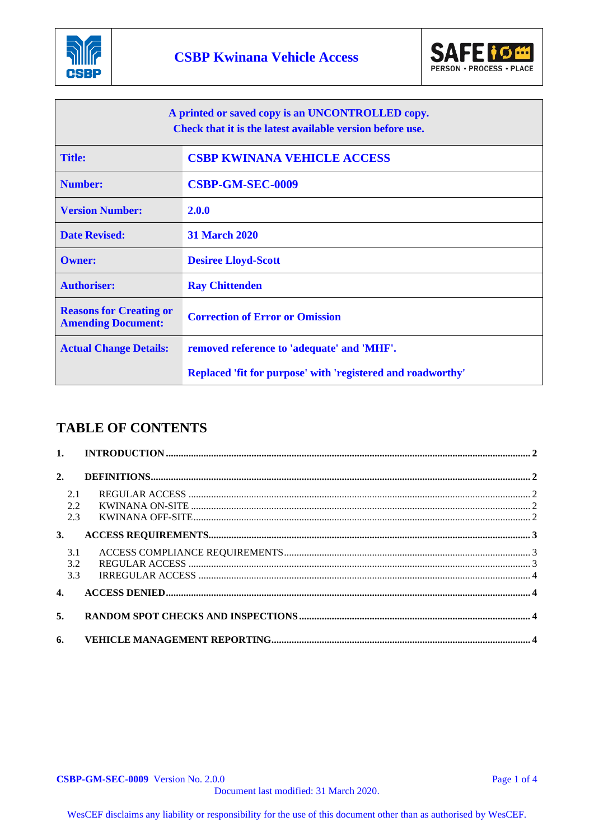



| A printed or saved copy is an UNCONTROLLED copy.<br>Check that it is the latest available version before use. |                                                             |  |
|---------------------------------------------------------------------------------------------------------------|-------------------------------------------------------------|--|
| <b>Title:</b>                                                                                                 | <b>CSBP KWINANA VEHICLE ACCESS</b>                          |  |
| <b>Number:</b>                                                                                                | <b>CSBP-GM-SEC-0009</b>                                     |  |
| <b>Version Number:</b>                                                                                        | 2.0.0                                                       |  |
| <b>Date Revised:</b>                                                                                          | <b>31 March 2020</b>                                        |  |
| <b>Owner:</b>                                                                                                 | <b>Desiree Lloyd-Scott</b>                                  |  |
| <b>Authoriser:</b>                                                                                            | <b>Ray Chittenden</b>                                       |  |
| <b>Reasons for Creating or</b><br><b>Amending Document:</b>                                                   | <b>Correction of Error or Omission</b>                      |  |
| <b>Actual Change Details:</b>                                                                                 | removed reference to 'adequate' and 'MHF'.                  |  |
|                                                                                                               | Replaced 'fit for purpose' with 'registered and roadworthy' |  |

# **TABLE OF CONTENTS**

| 2.                |  |
|-------------------|--|
| 2.1<br>2.2<br>2.3 |  |
| 3.                |  |
| 3.1<br>3.2<br>3.3 |  |
| $\overline{4}$ .  |  |
| 5.                |  |
| 6.                |  |

**CSBP-GM-SEC-0009** Version No. 2.0.0 Page 1 of 4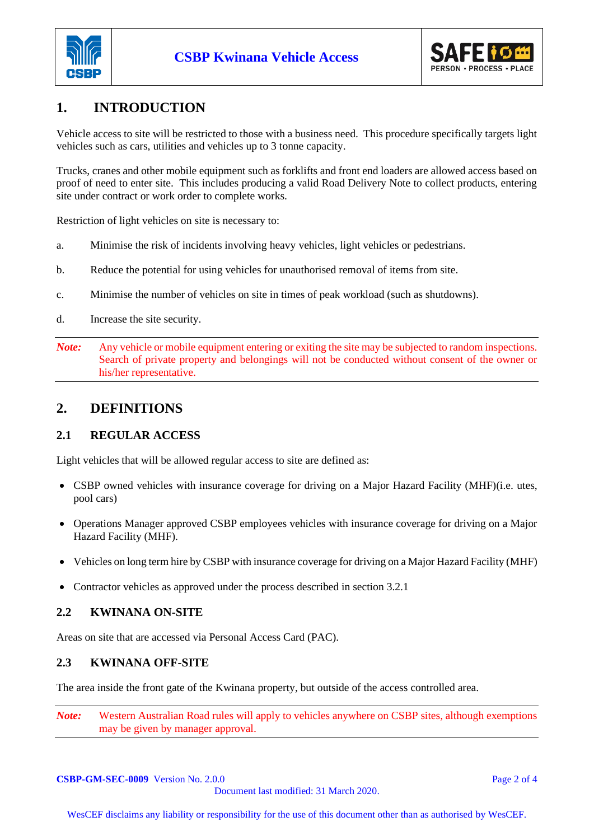



# **1. INTRODUCTION**

Vehicle access to site will be restricted to those with a business need. This procedure specifically targets light vehicles such as cars, utilities and vehicles up to 3 tonne capacity.

Trucks, cranes and other mobile equipment such as forklifts and front end loaders are allowed access based on proof of need to enter site. This includes producing a valid Road Delivery Note to collect products, entering site under contract or work order to complete works.

Restriction of light vehicles on site is necessary to:

- a. Minimise the risk of incidents involving heavy vehicles, light vehicles or pedestrians.
- b. Reduce the potential for using vehicles for unauthorised removal of items from site.
- c. Minimise the number of vehicles on site in times of peak workload (such as shutdowns).
- d. Increase the site security.
- *Note:* Any vehicle or mobile equipment entering or exiting the site may be subjected to random inspections. Search of private property and belongings will not be conducted without consent of the owner or his/her representative.

## **2. DEFINITIONS**

### **2.1 REGULAR ACCESS**

Light vehicles that will be allowed regular access to site are defined as:

- CSBP owned vehicles with insurance coverage for driving on a Major Hazard Facility (MHF)(i.e. utes, pool cars)
- Operations Manager approved CSBP employees vehicles with insurance coverage for driving on a Major Hazard Facility (MHF).
- Vehicles on long term hire by CSBP with insurance coverage for driving on a Major Hazard Facility (MHF)
- Contractor vehicles as approved under the process described in section 3.2.1

#### **2.2 KWINANA ON-SITE**

Areas on site that are accessed via Personal Access Card (PAC).

#### **2.3 KWINANA OFF-SITE**

The area inside the front gate of the Kwinana property, but outside of the access controlled area.

*Note:* Western Australian Road rules will apply to vehicles anywhere on CSBP sites, although exemptions may be given by manager approval.

**CSBP-GM-SEC-0009** Version No. 2.0.0 **Page 2 of 4** Document last modified: 31 March 2020.

WesCEF disclaims any liability or responsibility for the use of this document other than as authorised by WesCEF.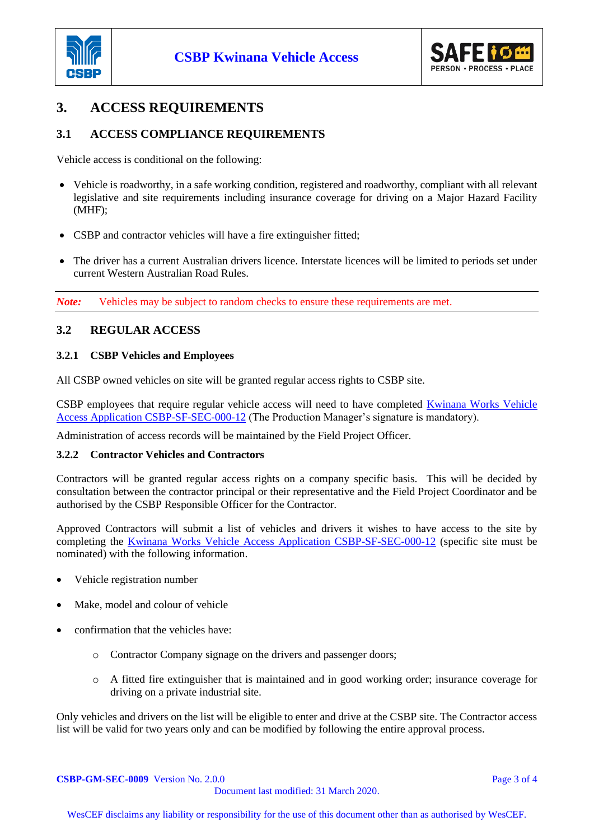



# **3. ACCESS REQUIREMENTS**

### **3.1 ACCESS COMPLIANCE REQUIREMENTS**

Vehicle access is conditional on the following:

- Vehicle is roadworthy, in a safe working condition, registered and roadworthy, compliant with all relevant legislative and site requirements including insurance coverage for driving on a Major Hazard Facility (MHF);
- CSBP and contractor vehicles will have a fire extinguisher fitted;
- The driver has a current Australian drivers licence. Interstate licences will be limited to periods set under current Western Australian Road Rules.

*Note:* Vehicles may be subject to random checks to ensure these requirements are met.

### **3.2 REGULAR ACCESS**

#### **3.2.1 CSBP Vehicles and Employees**

All CSBP owned vehicles on site will be granted regular access rights to CSBP site.

CSBP employees that require regular vehicle access will need to have completed [Kwinana Works Vehicle](http://docova.wescef.com.au/docova/web/app.php/Docova/wHomeFrame?ReadForm&goto=6EFDC3AC-3BD8-41F2-8693-1B765EFFBFB7,B051A02C-DA9D-48C4-AD59-B2BCBA22F787,B37B89E7-17F9-42A2-8A43-1845A13FAC69&LatestRelease=true)  [Access Application CSBP-SF-SEC-000-12](http://docova.wescef.com.au/docova/web/app.php/Docova/wHomeFrame?ReadForm&goto=6EFDC3AC-3BD8-41F2-8693-1B765EFFBFB7,B051A02C-DA9D-48C4-AD59-B2BCBA22F787,B37B89E7-17F9-42A2-8A43-1845A13FAC69&LatestRelease=true) (The Production Manager's signature is mandatory).

Administration of access records will be maintained by the Field Project Officer.

#### **3.2.2 Contractor Vehicles and Contractors**

Contractors will be granted regular access rights on a company specific basis. This will be decided by consultation between the contractor principal or their representative and the Field Project Coordinator and be authorised by the CSBP Responsible Officer for the Contractor.

Approved Contractors will submit a list of vehicles and drivers it wishes to have access to the site by completing the [Kwinana Works Vehicle Access Application CSBP-SF-SEC-000-12](http://docova.wescef.com.au/docova/web/app.php/Docova/wHomeFrame?ReadForm&goto=6EFDC3AC-3BD8-41F2-8693-1B765EFFBFB7,B051A02C-DA9D-48C4-AD59-B2BCBA22F787,B37B89E7-17F9-42A2-8A43-1845A13FAC69&LatestRelease=true) (specific site must be nominated) with the following information.

- Vehicle registration number
- Make, model and colour of vehicle
- confirmation that the vehicles have:
	- o Contractor Company signage on the drivers and passenger doors;
	- o A fitted fire extinguisher that is maintained and in good working order; insurance coverage for driving on a private industrial site.

Only vehicles and drivers on the list will be eligible to enter and drive at the CSBP site. The Contractor access list will be valid for two years only and can be modified by following the entire approval process.